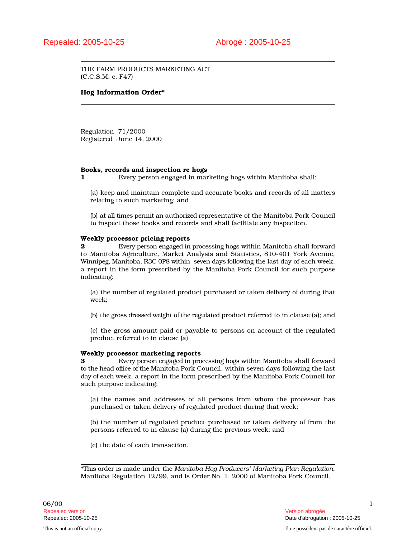THE FARM PRODUCTS MARKETING ACT (C.C.S.M. c. F47)

# Hog Information Order\*

Regulation 71/2000 Registered June 14, 2000

## Books, records and inspection re hogs

1 Every person engaged in marketing hogs within Manitoba shall:

(a) keep and maintain complete and accurate books and records of all matters relating to such marketing; and

(b) at all times permit an authorized representative of the Manitoba Pork Council to inspect those books and records and shall facilitate any inspection.

# Weekly processor pricing reports

2 Every person engaged in processing hogs within Manitoba shall forward to Manitoba Agriculture, Market Analysis and Statistics, 810-401 York Avenue, Winnipeg, Manitoba, R3C 0P8 within seven days following the last day of each week, a report in the form prescribed by the Manitoba Pork Council for such purpose indicating:

(a) the number of regulated product purchased or taken delivery of during that week;

(b) the gross dressed weight of the regulated product referred to in clause (a); and

(c) the gross amount paid or payable to persons on account of the regulated product referred to in clause (a).

## Weekly processor marketing reports

3 Every person engaged in processing hogs within Manitoba shall forward to the head office of the Manitoba Pork Council, within seven days following the last day of each week, a report in the form prescribed by the Manitoba Pork Council for such purpose indicating:

(a) the names and addresses of all persons from whom the processor has purchased or taken delivery of regulated product during that week;

(b) the number of regulated product purchased or taken delivery of from the persons referred to in clause (a) during the previous week; and

(c) the date of each transaction.

\*This order is made under the *Manitoba Hog Producers' Marketing Plan Regulation*, Manitoba Regulation 12/99, and is Order No. 1, 2000 of Manitoba Pork Council.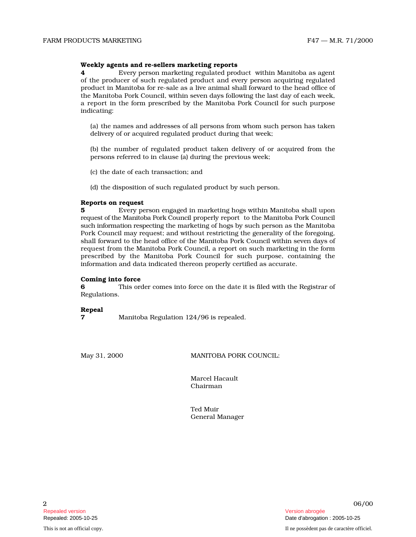## Weekly agents and re-sellers marketing reports

**4** Every person marketing regulated product within Manitoba as agent of the producer of such regulated product and every person acquiring regulated product in Manitoba for re-sale as a live animal shall forward to the head office of the Manitoba Pork Council, within seven days following the last day of each week, a report in the form prescribed by the Manitoba Pork Council for such purpose indicating:

(a) the names and addresses of all persons from whom such person has taken delivery of or acquired regulated product during that week;

(b) the number of regulated product taken delivery of or acquired from the persons referred to in clause (a) during the previous week;

(c) the date of each transaction; and

(d) the disposition of such regulated product by such person.

## Reports on request

**5** Every person engaged in marketing hogs within Manitoba shall upon request of the Manitoba Pork Council properly report to the Manitoba Pork Council such information respecting the marketing of hogs by such person as the Manitoba Pork Council may request; and without restricting the generality of the foregoing, shall forward to the head office of the Manitoba Pork Council within seven days of request from the Manitoba Pork Council, a report on such marketing in the form prescribed by the Manitoba Pork Council for such purpose, containing the information and data indicated thereon properly certified as accurate.

## Coming into force

**6** This order comes into force on the date it is filed with the Registrar of Regulations.

Repeal

7 Manitoba Regulation 124/96 is repealed.

May 31, 2000 MANITOBA PORK COUNCIL:

Marcel Hacault Chairman

Ted Muir General Manager